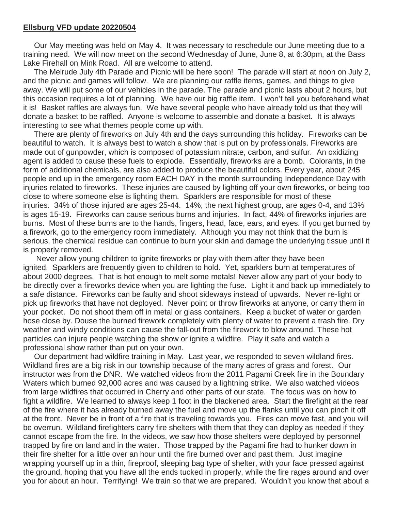## **Ellsburg VFD update 20220504**

Our May meeting was held on May 4. It was necessary to reschedule our June meeting due to a training need. We will now meet on the second Wednesday of June, June 8, at 6:30pm, at the Bass Lake Firehall on Mink Road. All are welcome to attend.

The Melrude July 4th Parade and Picnic will be here soon! The parade will start at noon on July 2, and the picnic and games will follow. We are planning our raffle items, games, and things to give away. We will put some of our vehicles in the parade. The parade and picnic lasts about 2 hours, but this occasion requires a lot of planning. We have our big raffle item. I won't tell you beforehand what it is! Basket raffles are always fun. We have several people who have already told us that they will donate a basket to be raffled. Anyone is welcome to assemble and donate a basket. It is always interesting to see what themes people come up with.

There are plenty of fireworks on July 4th and the days surrounding this holiday. Fireworks can be beautiful to watch. It is always best to watch a show that is put on by professionals. Fireworks are made out of gunpowder, which is composed of potassium nitrate, carbon, and sulfur. An oxidizing agent is added to cause these fuels to explode. Essentially, fireworks are a bomb. Colorants, in the form of additional chemicals, are also added to produce the beautiful colors. Every year, about 245 people end up in the emergency room EACH DAY in the month surrounding Independence Day with injuries related to fireworks. These injuries are caused by lighting off your own fireworks, or being too close to where someone else is lighting them. Sparklers are responsible for most of these injuries. 34% of those injured are ages 25-44. 14%, the next highest group, are ages 0-4, and 13% is ages 15-19. Fireworks can cause serious burns and injuries. In fact, 44% of fireworks injuries are burns. Most of these burns are to the hands, fingers, head, face, ears, and eyes. If you get burned by a firework, go to the emergency room immediately. Although you may not think that the burn is serious, the chemical residue can continue to burn your skin and damage the underlying tissue until it is properly removed.

Never allow young children to ignite fireworks or play with them after they have been ignited. Sparklers are frequently given to children to hold. Yet, sparklers burn at temperatures of about 2000 degrees. That is hot enough to melt some metals! Never allow any part of your body to be directly over a fireworks device when you are lighting the fuse. Light it and back up immediately to a safe distance. Fireworks can be faulty and shoot sideways instead of upwards. Never re-light or pick up fireworks that have not deployed. Never point or throw fireworks at anyone, or carry them in your pocket. Do not shoot them off in metal or glass containers. Keep a bucket of water or garden hose close by. Douse the burned firework completely with plenty of water to prevent a trash fire. Dry weather and windy conditions can cause the fall-out from the firework to blow around. These hot particles can injure people watching the show or ignite a wildfire. Play it safe and watch a professional show rather than put on your own.

Our department had wildfire training in May. Last year, we responded to seven wildland fires. Wildland fires are a big risk in our township because of the many acres of grass and forest. Our instructor was from the DNR. We watched videos from the 2011 Pagami Creek fire in the Boundary Waters which burned 92,000 acres and was caused by a lightning strike. We also watched videos from large wildfires that occurred in Cherry and other parts of our state. The focus was on how to fight a wildfire. We learned to always keep 1 foot in the blackened area. Start the firefight at the rear of the fire where it has already burned away the fuel and move up the flanks until you can pinch it off at the front. Never be in front of a fire that is traveling towards you. Fires can move fast, and you will be overrun. Wildland firefighters carry fire shelters with them that they can deploy as needed if they cannot escape from the fire. In the videos, we saw how those shelters were deployed by personnel trapped by fire on land and in the water. Those trapped by the Pagami fire had to hunker down in their fire shelter for a little over an hour until the fire burned over and past them. Just imagine wrapping yourself up in a thin, fireproof, sleeping bag type of shelter, with your face pressed against the ground, hoping that you have all the ends tucked in properly, while the fire rages around and over you for about an hour. Terrifying! We train so that we are prepared. Wouldn't you know that about a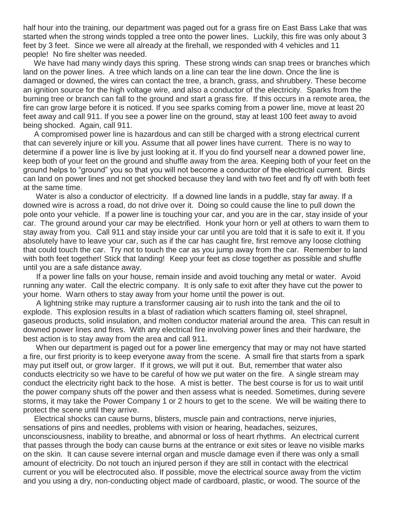half hour into the training, our department was paged out for a grass fire on East Bass Lake that was started when the strong winds toppled a tree onto the power lines. Luckily, this fire was only about 3 feet by 3 feet. Since we were all already at the firehall, we responded with 4 vehicles and 11 people! No fire shelter was needed.

We have had many windy days this spring. These strong winds can snap trees or branches which land on the power lines. A tree which lands on a line can tear the line down. Once the line is damaged or downed, the wires can contact the tree, a branch, grass, and shrubbery. These become an ignition source for the high voltage wire, and also a conductor of the electricity. Sparks from the burning tree or branch can fall to the ground and start a grass fire. If this occurs in a remote area, the fire can grow large before it is noticed. If you see sparks coming from a power line, move at least 20 feet away and call 911. If you see a power line on the ground, stay at least 100 feet away to avoid being shocked. Again, call 911.

A compromised power line is hazardous and can still be charged with a strong electrical current that can severely injure or kill you. Assume that all power lines have current. There is no way to determine if a power line is live by just looking at it. If you do find yourself near a downed power line, keep both of your feet on the ground and shuffle away from the area. Keeping both of your feet on the ground helps to "ground" you so that you will not become a conductor of the electrical current. Birds can land on power lines and not get shocked because they land with two feet and fly off with both feet at the same time.

Water is also a conductor of electricity. If a downed line lands in a puddle, stay far away. If a downed wire is across a road, do not drive over it. Doing so could cause the line to pull down the pole onto your vehicle. If a power line is touching your car, and you are in the car, stay inside of your car. The ground around your car may be electrified. Honk your horn or yell at others to warn them to stay away from you. Call 911 and stay inside your car until you are told that it is safe to exit it. If you absolutely have to leave your car, such as if the car has caught fire, first remove any loose clothing that could touch the car. Try not to touch the car as you jump away from the car. Remember to land with both feet together! Stick that landing! Keep your feet as close together as possible and shuffle until you are a safe distance away.

If a power line falls on your house, remain inside and avoid touching any metal or water. Avoid running any water. Call the electric company. It is only safe to exit after they have cut the power to your home. Warn others to stay away from your home until the power is out.

A lightning strike may rupture a transformer causing air to rush into the tank and the oil to explode. This explosion results in a blast of radiation which scatters flaming oil, steel shrapnel, gaseous products, solid insulation, and molten conductor material around the area. This can result in downed power lines and fires. With any electrical fire involving power lines and their hardware, the best action is to stay away from the area and call 911.

When our department is paged out for a power line emergency that may or may not have started a fire, our first priority is to keep everyone away from the scene. A small fire that starts from a spark may put itself out, or grow larger. If it grows, we will put it out. But, remember that water also conducts electricity so we have to be careful of how we put water on the fire. A single stream may conduct the electricity right back to the hose. A mist is better. The best course is for us to wait until the power company shuts off the power and then assess what is needed. Sometimes, during severe storms, it may take the Power Company 1 or 2 hours to get to the scene. We will be waiting there to protect the scene until they arrive.

Electrical shocks can cause burns, blisters, muscle pain and contractions, nerve injuries, sensations of pins and needles, problems with vision or hearing, headaches, seizures, unconsciousness, inability to breathe, and abnormal or loss of heart rhythms. An electrical current that passes through the body can cause burns at the entrance or exit sites or leave no visible marks on the skin. It can cause severe internal organ and muscle damage even if there was only a small amount of electricity. Do not touch an injured person if they are still in contact with the electrical current or you will be electrocuted also. If possible, move the electrical source away from the victim and you using a dry, non-conducting object made of cardboard, plastic, or wood. The source of the